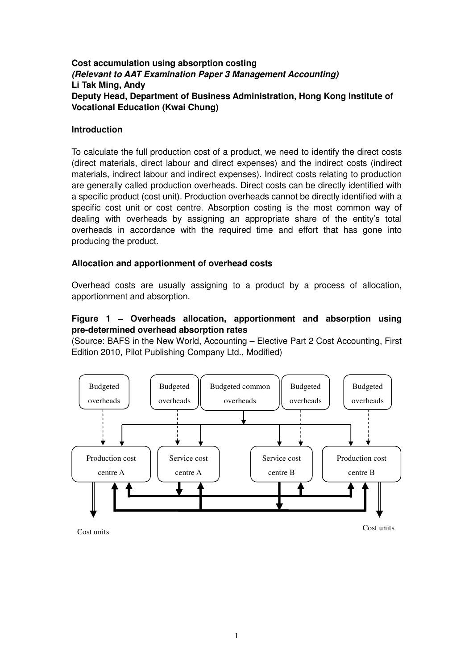# **Cost accumulation using absorption costing (Relevant to AAT Examination Paper 3 Management Accounting) Li Tak Ming, Andy Deputy Head, Department of Business Administration, Hong Kong Institute of Vocational Education (Kwai Chung)**

## **Introduction**

To calculate the full production cost of a product, we need to identify the direct costs (direct materials, direct labour and direct expenses) and the indirect costs (indirect materials, indirect labour and indirect expenses). Indirect costs relating to production are generally called production overheads. Direct costs can be directly identified with a specific product (cost unit). Production overheads cannot be directly identified with a specific cost unit or cost centre. Absorption costing is the most common way of dealing with overheads by assigning an appropriate share of the entity's total overheads in accordance with the required time and effort that has gone into producing the product.

# **Allocation and apportionment of overhead costs**

Overhead costs are usually assigning to a product by a process of allocation, apportionment and absorption.

# **Figure 1 – Overheads allocation, apportionment and absorption using pre-determined overhead absorption rates**

(Source: BAFS in the New World, Accounting – Elective Part 2 Cost Accounting, First Edition 2010, Pilot Publishing Company Ltd., Modified)



Cost units Cost units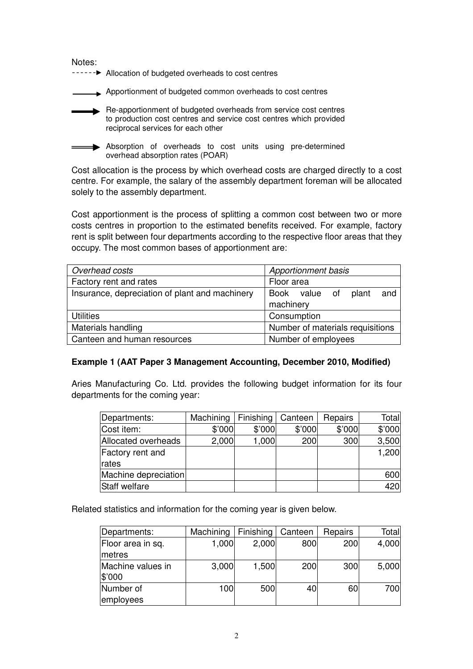Notes:

------ > Allocation of budgeted overheads to cost centres

. Apportionment of budgeted common overheads to cost centres

Re-apportionment of budgeted overheads from service cost centres to production cost centres and service cost centres which provided reciprocal services for each other

Absorption of overheads to cost units using pre-determined overhead absorption rates (POAR)

Cost allocation is the process by which overhead costs are charged directly to a cost centre. For example, the salary of the assembly department foreman will be allocated solely to the assembly department.

Cost apportionment is the process of splitting a common cost between two or more costs centres in proportion to the estimated benefits received. For example, factory rent is split between four departments according to the respective floor areas that they occupy. The most common bases of apportionment are:

| Overhead costs                                 | Apportionment basis              |  |  |
|------------------------------------------------|----------------------------------|--|--|
| Factory rent and rates                         | Floor area                       |  |  |
| Insurance, depreciation of plant and machinery | and<br>Book value of plant       |  |  |
|                                                | machinery                        |  |  |
| <b>Utilities</b>                               | Consumption                      |  |  |
| Materials handling                             | Number of materials requisitions |  |  |
| Canteen and human resources                    | Number of employees              |  |  |

### **Example 1 (AAT Paper 3 Management Accounting, December 2010, Modified)**

Aries Manufacturing Co. Ltd. provides the following budget information for its four departments for the coming year:

| Departments:         | Machining | Finishing | Canteen | Repairs | Total  |
|----------------------|-----------|-----------|---------|---------|--------|
| Cost item:           | \$'000    | \$'000    | \$'000  | \$'000  | \$'000 |
| Allocated overheads  | 2,000     | 1,000     | 200     | 300     | 3,500  |
| Factory rent and     |           |           |         |         | 1,200  |
| <b>rates</b>         |           |           |         |         |        |
| Machine depreciation |           |           |         |         | 600    |
| Staff welfare        |           |           |         |         | 420    |

Related statistics and information for the coming year is given below.

| Departments:      | Machining | Finishing | Canteen | Repairs | Total |
|-------------------|-----------|-----------|---------|---------|-------|
| Floor area in sq. | 1,000     | 2,000     | 800     | 200     | 4,000 |
| metres            |           |           |         |         |       |
| Machine values in | 3,000     | 1,500     | 200     | 300     | 5,000 |
| \$'000            |           |           |         |         |       |
| Number of         | 100       | 500       | 40      | 60      | 700   |
| employees         |           |           |         |         |       |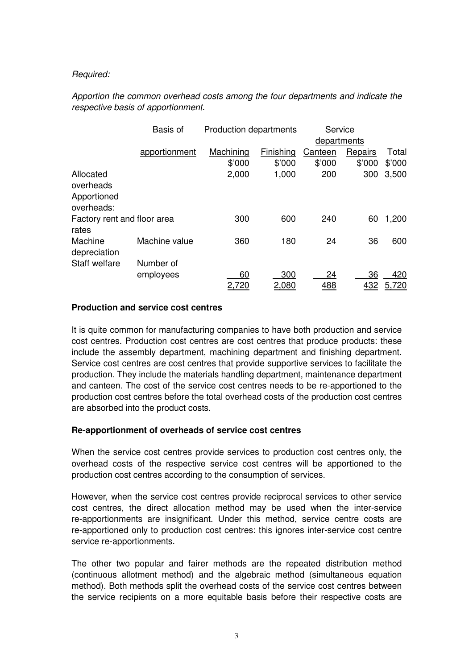## Required:

# Apportion the common overhead costs among the four departments and indicate the respective basis of apportionment.

|                             | Basis of      | <b>Production departments</b> |           | Service     |         |        |
|-----------------------------|---------------|-------------------------------|-----------|-------------|---------|--------|
|                             |               |                               |           | departments |         |        |
|                             | apportionment | Machining                     | Finishing | Canteen     | Repairs | Total  |
|                             |               | \$'000                        | \$'000    | \$'000      | \$'000  | \$'000 |
| Allocated                   |               | 2,000                         | 1,000     | 200         | 300     | 3,500  |
| overheads                   |               |                               |           |             |         |        |
| Apportioned                 |               |                               |           |             |         |        |
| overheads:                  |               |                               |           |             |         |        |
| Factory rent and floor area |               | 300                           | 600       | 240         | 60      | 1,200  |
| rates                       |               |                               |           |             |         |        |
| Machine                     | Machine value | 360                           | 180       | 24          | 36      | 600    |
| depreciation                |               |                               |           |             |         |        |
| Staff welfare               | Number of     |                               |           |             |         |        |
|                             | employees     | 60                            | 300       | 24          | 36      | 420    |
|                             |               | 2,720                         | 2,080     | 488         | 432     | 5,720  |

#### **Production and service cost centres**

It is quite common for manufacturing companies to have both production and service cost centres. Production cost centres are cost centres that produce products: these include the assembly department, machining department and finishing department. Service cost centres are cost centres that provide supportive services to facilitate the production. They include the materials handling department, maintenance department and canteen. The cost of the service cost centres needs to be re-apportioned to the production cost centres before the total overhead costs of the production cost centres are absorbed into the product costs.

### **Re-apportionment of overheads of service cost centres**

When the service cost centres provide services to production cost centres only, the overhead costs of the respective service cost centres will be apportioned to the production cost centres according to the consumption of services.

However, when the service cost centres provide reciprocal services to other service cost centres, the direct allocation method may be used when the inter-service re-apportionments are insignificant. Under this method, service centre costs are re-apportioned only to production cost centres: this ignores inter-service cost centre service re-apportionments.

The other two popular and fairer methods are the repeated distribution method (continuous allotment method) and the algebraic method (simultaneous equation method). Both methods split the overhead costs of the service cost centres between the service recipients on a more equitable basis before their respective costs are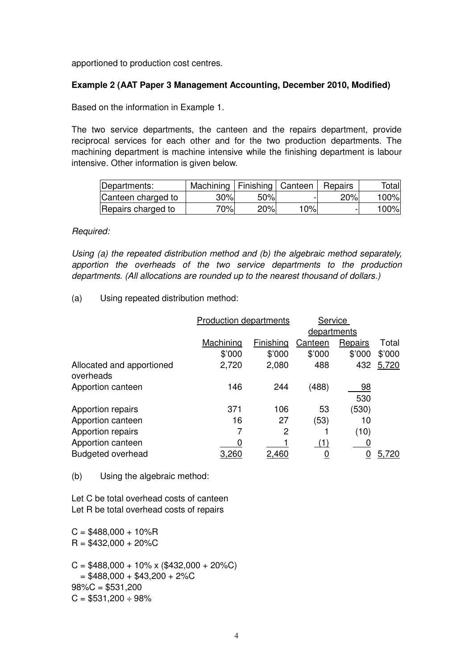apportioned to production cost centres.

#### **Example 2 (AAT Paper 3 Management Accounting, December 2010, Modified)**

Based on the information in Example 1.

The two service departments, the canteen and the repairs department, provide reciprocal services for each other and for the two production departments. The machining department is machine intensive while the finishing department is labour intensive. Other information is given below.

| Departments:       | Machining   Finishing   Canteen |     |     | Repairs | Total |
|--------------------|---------------------------------|-----|-----|---------|-------|
| Canteen charged to | 30%                             | 50% |     | 20%     | 100%  |
| Repairs charged to | 70%l                            | 20% | 10% |         | 100%  |

#### Required:

Using (a) the repeated distribution method and (b) the algebraic method separately, apportion the overheads of the two service departments to the production departments. (All allocations are rounded up to the nearest thousand of dollars.)

(a) Using repeated distribution method:

|                                        | <b>Production departments</b> |           | Service        |           |        |  |
|----------------------------------------|-------------------------------|-----------|----------------|-----------|--------|--|
|                                        |                               |           | departments    |           |        |  |
|                                        | Machining                     | Finishing | <b>Canteen</b> | Repairs   | Total  |  |
|                                        | \$'000                        | \$'000    | \$'000         | \$'000    | \$'000 |  |
| Allocated and apportioned<br>overheads | 2,720                         | 2,080     | 488            | 432       | 5,720  |  |
| Apportion canteen                      | 146                           | 244       | (488)          | 98<br>530 |        |  |
| Apportion repairs                      | 371                           | 106       | 53             | (530)     |        |  |
| Apportion canteen                      | 16                            | 27        | (53)           | 10        |        |  |
| Apportion repairs                      | 7                             | 2         |                | (10)      |        |  |
| Apportion canteen                      | 0                             |           | (1)            |           |        |  |
| <b>Budgeted overhead</b>               | 3,260                         | 2,460     |                | 0         | 5,720  |  |

(b) Using the algebraic method:

Let C be total overhead costs of canteen Let R be total overhead costs of repairs

 $C = $488,000 + 10\%$ R  $R = $432,000 + 20\%C$ 

 $C = $488,000 + 10\% \times ($432,000 + 20\%C)$  $= $488,000 + $43,200 + 2\%$ C  $98\%C = $531,200$  $C = $531,200 \div 98\%$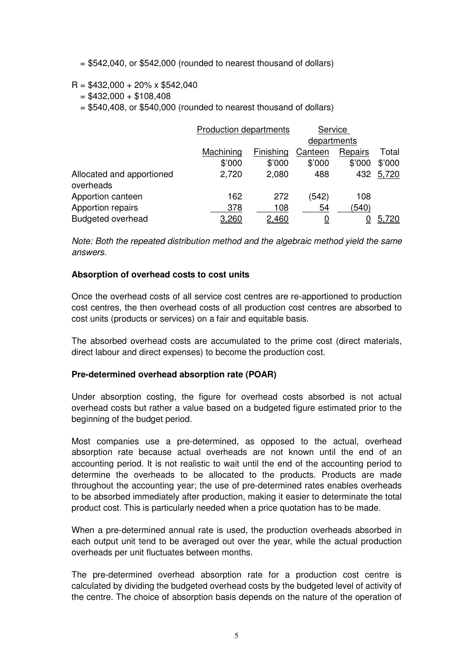$= $542,040$ , or \$542,000 (rounded to nearest thousand of dollars)

- $R = $432,000 + 20\% \times $542,040$ 
	- $= $432,000 + $108,408$

 $= $540,408$ , or \$540,000 (rounded to nearest thousand of dollars)

|                                        | <b>Production departments</b> |           | Service     |         |        |
|----------------------------------------|-------------------------------|-----------|-------------|---------|--------|
|                                        |                               |           | departments |         |        |
|                                        | Machining                     | Finishing | Canteen     | Repairs | Total  |
|                                        | \$'000                        | \$'000    | \$'000      | \$'000  | \$'000 |
| Allocated and apportioned<br>overheads | 2,720                         | 2,080     | 488         | 432     | 5,720  |
| Apportion canteen                      | 162                           | 272       | (542)       | 108     |        |
| Apportion repairs                      | 378                           | 108       | 54          | (540)   |        |
| <b>Budgeted overhead</b>               | 3,260                         | 2,460     | <u>0</u>    |         | 5,720  |

Note: Both the repeated distribution method and the algebraic method yield the same answers.

#### **Absorption of overhead costs to cost units**

Once the overhead costs of all service cost centres are re-apportioned to production cost centres, the then overhead costs of all production cost centres are absorbed to cost units (products or services) on a fair and equitable basis.

The absorbed overhead costs are accumulated to the prime cost (direct materials, direct labour and direct expenses) to become the production cost.

#### **Pre-determined overhead absorption rate (POAR)**

Under absorption costing, the figure for overhead costs absorbed is not actual overhead costs but rather a value based on a budgeted figure estimated prior to the beginning of the budget period.

Most companies use a pre-determined, as opposed to the actual, overhead absorption rate because actual overheads are not known until the end of an accounting period. It is not realistic to wait until the end of the accounting period to determine the overheads to be allocated to the products. Products are made throughout the accounting year; the use of pre-determined rates enables overheads to be absorbed immediately after production, making it easier to determinate the total product cost. This is particularly needed when a price quotation has to be made.

When a pre-determined annual rate is used, the production overheads absorbed in each output unit tend to be averaged out over the year, while the actual production overheads per unit fluctuates between months.

The pre-determined overhead absorption rate for a production cost centre is calculated by dividing the budgeted overhead costs by the budgeted level of activity of the centre. The choice of absorption basis depends on the nature of the operation of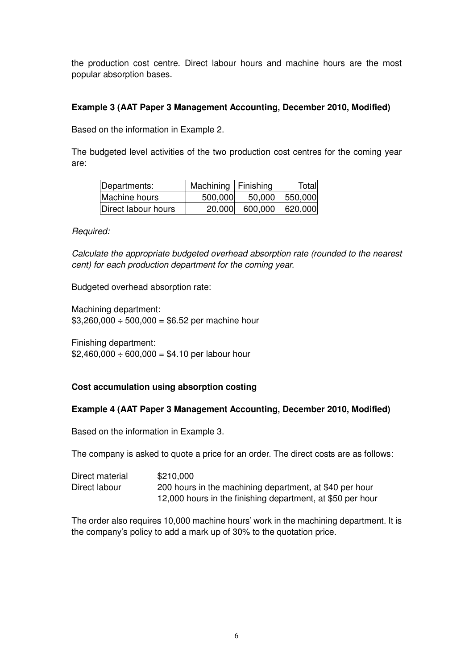the production cost centre. Direct labour hours and machine hours are the most popular absorption bases.

## **Example 3 (AAT Paper 3 Management Accounting, December 2010, Modified)**

Based on the information in Example 2.

The budgeted level activities of the two production cost centres for the coming year are:

| Departments:        | Machining   Finishing |         | Total   |
|---------------------|-----------------------|---------|---------|
| Machine hours       | 500,000               | 50,000  | 550,000 |
| Direct labour hours | 20,000                | 600,000 | 620,000 |

### Required:

Calculate the appropriate budgeted overhead absorption rate (rounded to the nearest cent) for each production department for the coming year.

Budgeted overhead absorption rate:

Machining department:  $$3,260,000 \div 500,000 = $6.52$  per machine hour

Finishing department:  $$2,460,000 \div 600,000 = $4.10$  per labour hour

# **Cost accumulation using absorption costing**

### **Example 4 (AAT Paper 3 Management Accounting, December 2010, Modified)**

Based on the information in Example 3.

The company is asked to quote a price for an order. The direct costs are as follows:

| Direct material | \$210,000                                                  |
|-----------------|------------------------------------------------------------|
| Direct labour   | 200 hours in the machining department, at \$40 per hour    |
|                 | 12,000 hours in the finishing department, at \$50 per hour |

The order also requires 10,000 machine hours' work in the machining department. It is the company's policy to add a mark up of 30% to the quotation price.